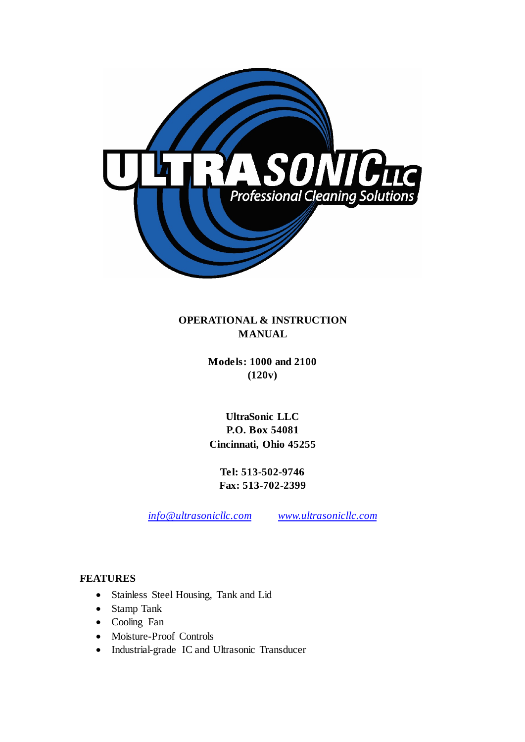

**OPERATIONAL & INSTRUCTION MANUAL**

> **Models: 1000 and 2100 (120v)**

**UltraSonic LLC P.O. Box 54081 Cincinnati, Ohio 45255**

**Tel: 513-502-9746 Fax: 513-702-2399**

*info@ultrasonicllc.com [www.ultrasonicllc.com](http://www.ultrasonicllc.com/)*

### **FEATURES**

- Stainless Steel Housing, Tank and Lid
- Stamp Tank
- Cooling Fan
- Moisture-Proof Controls
- Industrial-grade IC and Ultrasonic Transducer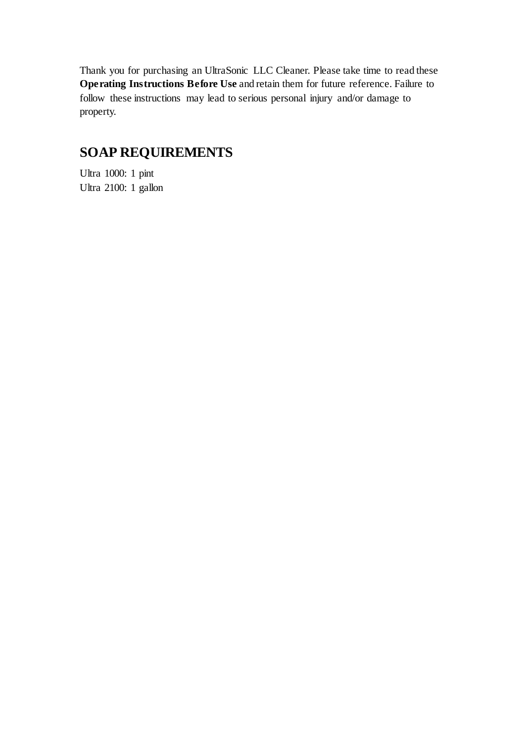Thank you for purchasing an UltraSonic LLC Cleaner. Please take time to read these **Operating Instructions Before Use** and retain them for future reference. Failure to follow these instructions may lead to serious personal injury and/or damage to property.

# **SOAP REQUIREMENTS**

Ultra 1000: 1 pint Ultra 2100: 1 gallon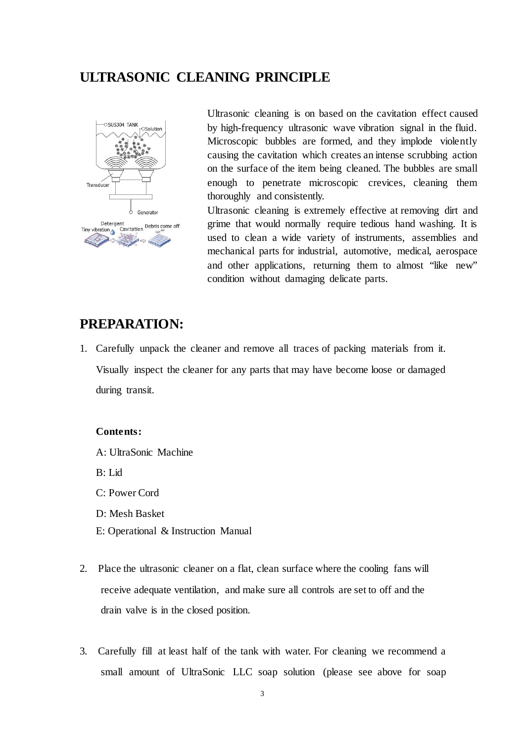## **ULTRASONIC CLEANING PRINCIPLE**



Ultrasonic cleaning is on based on the cavitation effect caused by high-frequency ultrasonic wave vibration signal in the fluid. Microscopic bubbles are formed, and they implode violently causing the cavitation which creates an intense scrubbing action on the surface of the item being cleaned. The bubbles are small enough to penetrate microscopic crevices, cleaning them thoroughly and consistently.

Ultrasonic cleaning is extremely effective at removing dirt and grime that would normally require tedious hand washing. It is used to clean a wide variety of instruments, assemblies and mechanical parts for industrial, automotive, medical, aerospace and other applications, returning them to almost "like new" condition without damaging delicate parts.

## **PREPARATION:**

1. Carefully unpack the cleaner and remove all traces of packing materials from it. Visually inspect the cleaner for any parts that may have become loose or damaged during transit.

#### **Contents:**

A: UltraSonic Machine

B: Lid

C: Power Cord

- D: Mesh Basket
- E: Operational & Instruction Manual
- 2. Place the ultrasonic cleaner on a flat, clean surface where the cooling fans will receive adequate ventilation, and make sure all controls are set to off and the drain valve is in the closed position.
- 3. Carefully fill at least half of the tank with water. For cleaning we recommend a small amount of UltraSonic LLC soap solution (please see above for soap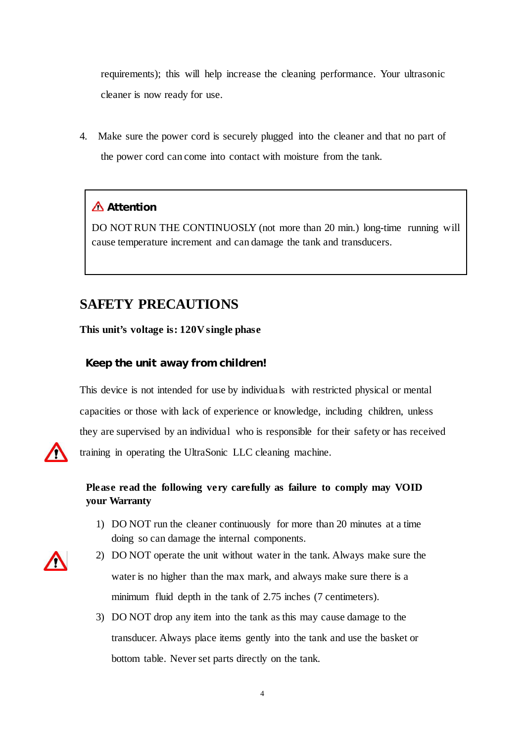requirements); this will help increase the cleaning performance. Your ultrasonic cleaner is now ready for use.

4. Make sure the power cord is securely plugged into the cleaner and that no part of the power cord can come into contact with moisture from the tank.

## **Attention**

DO NOT RUN THE CONTINUOSLY (not more than 20 min.) long-time running will cause temperature increment and can damage the tank and transducers.

# **SAFETY PRECAUTIONS**

**This unit's voltage is: 120V single phase**

### **Keep the unit away from children!**

This device is not intended for use by individuals with restricted physical or mental capacities or those with lack of experience or knowledge, including children, unless they are supervised by an individual who is responsible for their safety or has received training in operating the UltraSonic LLC cleaning machine.



### **Please read the following very carefully as failure to comply may VOID your Warranty**

- 1) DO NOT run the cleaner continuously for more than 20 minutes at a time doing so can damage the internal components.
- 
- 2) DO NOT operate the unit without water in the tank. Always make sure the water is no higher than the max mark, and always make sure there is a minimum fluid depth in the tank of 2.75 inches (7 centimeters).
- 3) DO NOT drop any item into the tank as this may cause damage to the transducer. Always place items gently into the tank and use the basket or bottom table. Never set parts directly on the tank.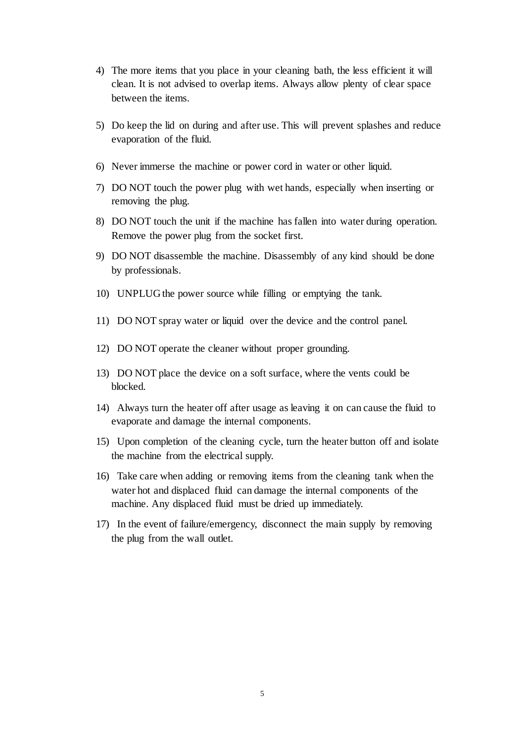- 4) The more items that you place in your cleaning bath, the less efficient it will clean. It is not advised to overlap items. Always allow plenty of clear space between the items.
- 5) Do keep the lid on during and after use. This will prevent splashes and reduce evaporation of the fluid.
- 6) Never immerse the machine or power cord in water or other liquid.
- 7) DO NOT touch the power plug with wet hands, especially when inserting or removing the plug.
- 8) DO NOT touch the unit if the machine has fallen into water during operation. Remove the power plug from the socket first.
- 9) DO NOT disassemble the machine. Disassembly of any kind should be done by professionals.
- 10) UNPLUG the power source while filling or emptying the tank.
- 11) DO NOT spray water or liquid over the device and the control panel.
- 12) DO NOT operate the cleaner without proper grounding.
- 13) DO NOT place the device on a soft surface, where the vents could be blocked.
- 14) Always turn the heater off after usage as leaving it on can cause the fluid to evaporate and damage the internal components.
- 15) Upon completion of the cleaning cycle, turn the heater button off and isolate the machine from the electrical supply.
- 16) Take care when adding or removing items from the cleaning tank when the water hot and displaced fluid can damage the internal components of the machine. Any displaced fluid must be dried up immediately.
- 17) In the event of failure/emergency, disconnect the main supply by removing the plug from the wall outlet.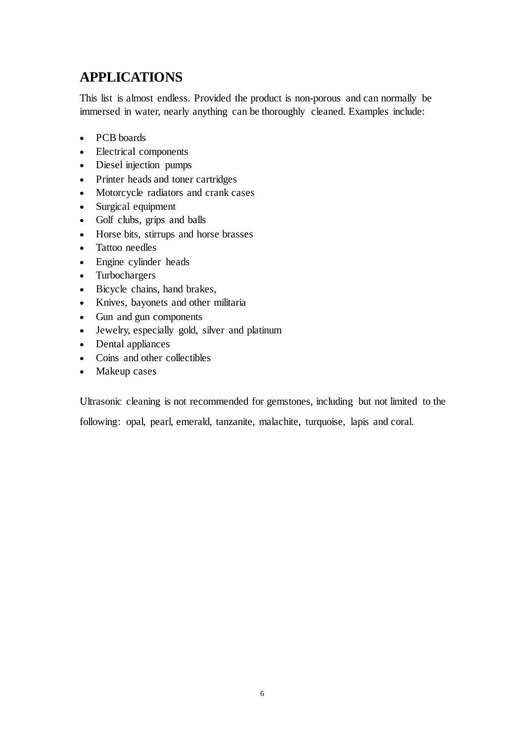# **APPLICATIONS**

This list is almost endless. Provided the product is non-porous and can normally be immersed in water, nearly anything can be thoroughly cleaned. Examples include:

- PCB boards
- Electrical components
- Diesel injection pumps
- Printer heads and toner cartridges
- Motorcycle radiators and crank cases
- Surgical equipment
- Golf clubs, grips and balls
- Horse bits, stirrups and horse brasses
- Tattoo needles
- Engine cylinder heads
- Turbochargers
- Bicycle chains, hand brakes,
- Knives, bayonets and other militaria
- Gun and gun components
- Jewelry, especially gold, silver and platinum
- Dental appliances
- Coins and other collectibles
- Makeup cases

Ultrasonic cleaning is not recommended for gemstones, including but not limited to the

following: opal, pearl, emerald, tanzanite, malachite, turquoise, lapis and coral.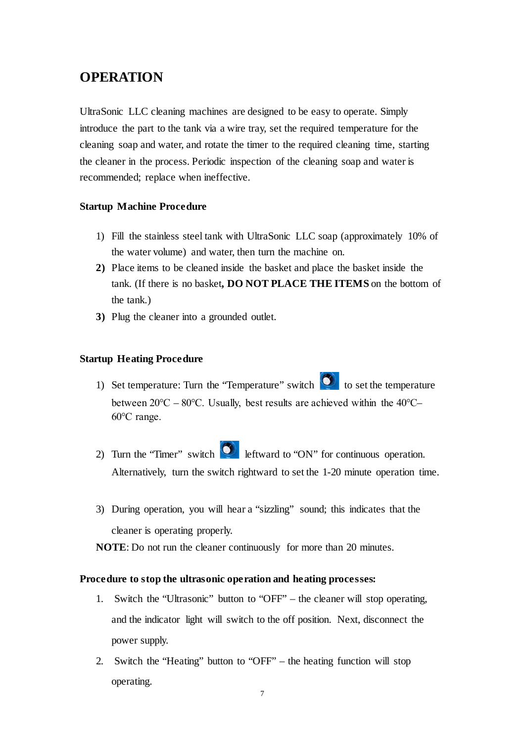## **OPERATION**

UltraSonic LLC cleaning machines are designed to be easy to operate. Simply introduce the part to the tank via a wire tray, set the required temperature for the cleaning soap and water, and rotate the timer to the required cleaning time, starting the cleaner in the process. Periodic inspection of the cleaning soap and water is recommended; replace when ineffective.

#### **Startup Machine Procedure**

- 1) Fill the stainless steel tank with UltraSonic LLC soap (approximately 10% of the water volume) and water, then turn the machine on.
- **2)** Place items to be cleaned inside the basket and place the basket inside the tank. (If there is no basket**, DO NOT PLACE THE ITEMS** on the bottom of the tank.)
- **3)** Plug the cleaner into a grounded outlet.

#### **Startup Heating Procedure**

- 1) Set temperature: Turn the "Temperature" switch  $\bullet$  to set the temperature between 20℃ – 80℃. Usually, best results are achieved within the 40℃– 60℃ range.
- 2) Turn the "Timer" switch  $\Box$  leftward to "ON" for continuous operation. Alternatively, turn the switch rightward to set the 1-20 minute operation time.
- 3) During operation, you will hear a "sizzling" sound; this indicates that the cleaner is operating properly.

**NOTE**: Do not run the cleaner continuously for more than 20 minutes.

#### **Procedure to stop the ultrasonic operation and heating processes:**

- 1. Switch the "Ultrasonic" button to "OFF" the cleaner will stop operating, and the indicator light will switch to the off position. Next, disconnect the power supply.
- 2. Switch the "Heating" button to "OFF" the heating function will stop operating.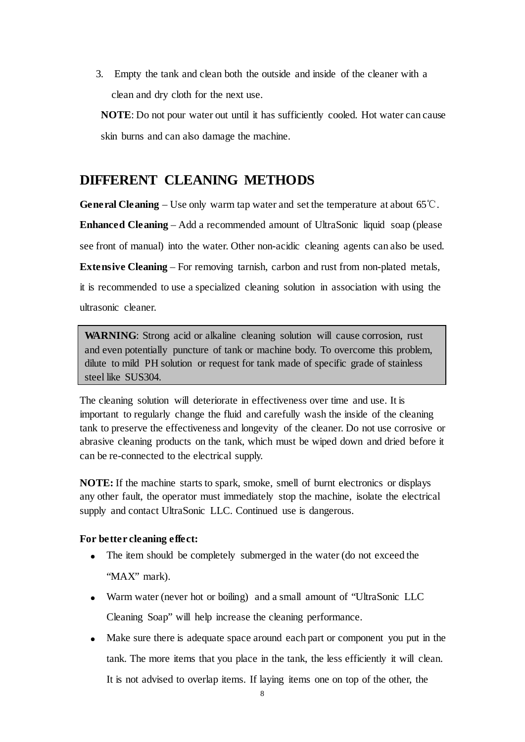3. Empty the tank and clean both the outside and inside of the cleaner with a clean and dry cloth for the next use.

**NOTE**: Do not pour water out until it has sufficiently cooled. Hot water can cause skin burns and can also damage the machine.

# **DIFFERENT CLEANING METHODS**

**General Cleaning** – Use only warm tap water and set the temperature at about 65° $\mathbb{C}$ .

**Enhanced Cleaning** – Add a recommended amount of UltraSonic liquid soap (please

see front of manual) into the water. Other non-acidic cleaning agents can also be used.

**Extensive Cleaning** – For removing tarnish, carbon and rust from non-plated metals,

it is recommended to use a specialized cleaning solution in association with using the ultrasonic cleaner.

**WARNING**: Strong acid or alkaline cleaning solution will cause corrosion, rust and even potentially puncture of tank or machine body. To overcome this problem, dilute to mild PH solution or request for tank made of specific grade of stainless steel like SUS304.

The cleaning solution will deteriorate in effectiveness over time and use. It is important to regularly change the fluid and carefully wash the inside of the cleaning tank to preserve the effectiveness and longevity of the cleaner. Do not use corrosive or abrasive cleaning products on the tank, which must be wiped down and dried before it can be re-connected to the electrical supply.

**NOTE:** If the machine starts to spark, smoke, smell of burnt electronics or displays any other fault, the operator must immediately stop the machine, isolate the electrical supply and contact UltraSonic LLC. Continued use is dangerous.

### **For better cleaning effect:**

- The item should be completely submerged in the water (do not exceed the "MAX" mark).
- Warm water (never hot or boiling) and a small amount of "UltraSonic LLC Cleaning Soap" will help increase the cleaning performance.
- Make sure there is adequate space around each part or component you put in the tank. The more items that you place in the tank, the less efficiently it will clean. It is not advised to overlap items. If laying items one on top of the other, the